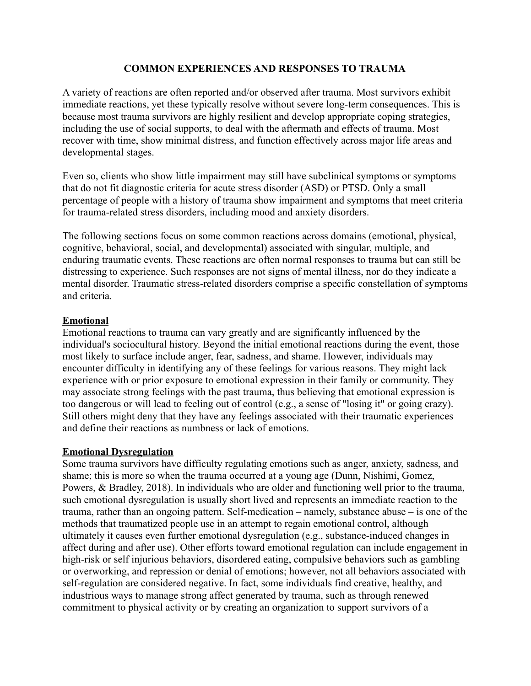## **COMMON EXPERIENCES AND RESPONSES TO TRAUMA**

A variety of reactions are often reported and/or observed after trauma. Most survivors exhibit immediate reactions, yet these typically resolve without severe long-term consequences. This is because most trauma survivors are highly resilient and develop appropriate coping strategies, including the use of social supports, to deal with the aftermath and effects of trauma. Most recover with time, show minimal distress, and function effectively across major life areas and developmental stages.

Even so, clients who show little impairment may still have subclinical symptoms or symptoms that do not fit diagnostic criteria for acute stress disorder (ASD) or PTSD. Only a small percentage of people with a history of trauma show impairment and symptoms that meet criteria for trauma-related stress disorders, including mood and anxiety disorders.

The following sections focus on some common reactions across domains (emotional, physical, cognitive, behavioral, social, and developmental) associated with singular, multiple, and enduring traumatic events. These reactions are often normal responses to trauma but can still be distressing to experience. Such responses are not signs of mental illness, nor do they indicate a mental disorder. Traumatic stress-related disorders comprise a specific constellation of symptoms and criteria.

## **Emotional**

Emotional reactions to trauma can vary greatly and are significantly influenced by the individual's sociocultural history. Beyond the initial emotional reactions during the event, those most likely to surface include anger, fear, sadness, and shame. However, individuals may encounter difficulty in identifying any of these feelings for various reasons. They might lack experience with or prior exposure to emotional expression in their family or community. They may associate strong feelings with the past trauma, thus believing that emotional expression is too dangerous or will lead to feeling out of control (e.g., a sense of "losing it" or going crazy). Still others might deny that they have any feelings associated with their traumatic experiences and define their reactions as numbness or lack of emotions.

## **Emotional Dysregulation**

Some trauma survivors have difficulty regulating emotions such as anger, anxiety, sadness, and shame; this is more so when the trauma occurred at a young age (Dunn, Nishimi, Gomez, Powers, & Bradley, 2018). In individuals who are older and functioning well prior to the trauma, such emotional dysregulation is usually short lived and represents an immediate reaction to the trauma, rather than an ongoing pattern. Self-medication – namely, substance abuse – is one of the methods that traumatized people use in an attempt to regain emotional control, although ultimately it causes even further emotional dysregulation (e.g., substance-induced changes in affect during and after use). Other efforts toward emotional regulation can include engagement in high-risk or self injurious behaviors, disordered eating, compulsive behaviors such as gambling or overworking, and repression or denial of emotions; however, not all behaviors associated with self-regulation are considered negative. In fact, some individuals find creative, healthy, and industrious ways to manage strong affect generated by trauma, such as through renewed commitment to physical activity or by creating an organization to support survivors of a